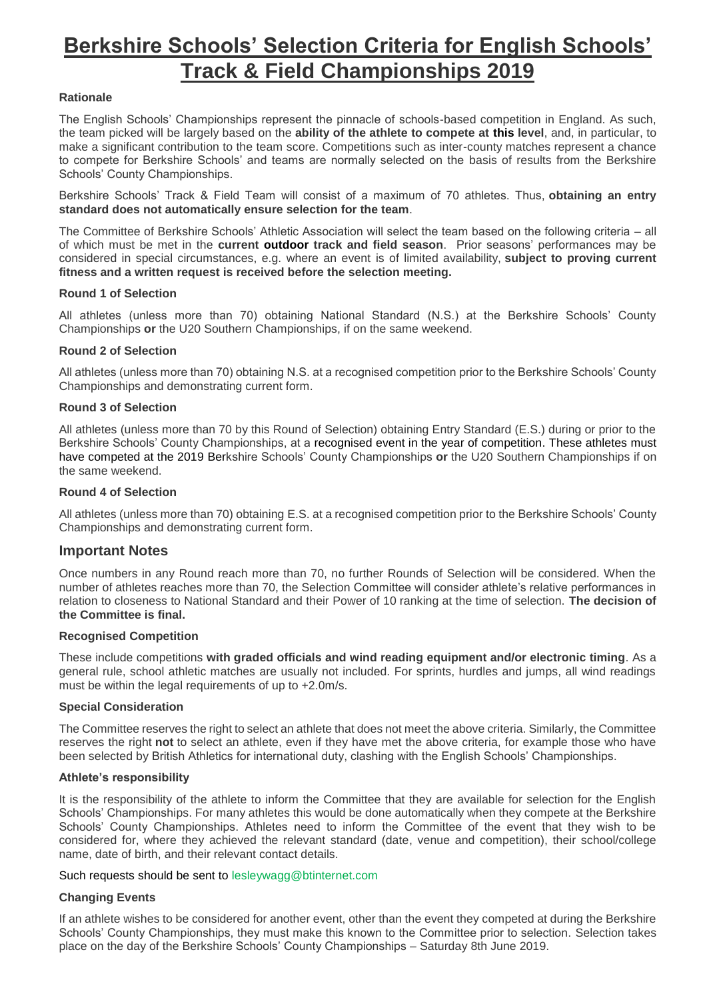# **Berkshire Schools' Selection Criteria for English Schools' Track & Field Championships 2019**

# **Rationale**

The English Schools' Championships represent the pinnacle of schools-based competition in England. As such, the team picked will be largely based on the **ability of the athlete to compete at this level**, and, in particular, to make a significant contribution to the team score. Competitions such as inter-county matches represent a chance to compete for Berkshire Schools' and teams are normally selected on the basis of results from the Berkshire Schools' County Championships.

Berkshire Schools' Track & Field Team will consist of a maximum of 70 athletes. Thus, **obtaining an entry standard does not automatically ensure selection for the team**.

The Committee of Berkshire Schools' Athletic Association will select the team based on the following criteria – all of which must be met in the **current outdoor track and field season**. Prior seasons' performances may be considered in special circumstances, e.g. where an event is of limited availability, **subject to proving current fitness and a written request is received before the selection meeting.**

## **Round 1 of Selection**

All athletes (unless more than 70) obtaining National Standard (N.S.) at the Berkshire Schools' County Championships **or** the U20 Southern Championships, if on the same weekend.

## **Round 2 of Selection**

All athletes (unless more than 70) obtaining N.S. at a recognised competition prior to the Berkshire Schools' County Championships and demonstrating current form.

## **Round 3 of Selection**

All athletes (unless more than 70 by this Round of Selection) obtaining Entry Standard (E.S.) during or prior to the Berkshire Schools' County Championships, at a recognised event in the year of competition. These athletes must have competed at the 2019 Berkshire Schools' County Championships **or** the U20 Southern Championships if on the same weekend.

## **Round 4 of Selection**

All athletes (unless more than 70) obtaining E.S. at a recognised competition prior to the Berkshire Schools' County Championships and demonstrating current form.

# **Important Notes**

Once numbers in any Round reach more than 70, no further Rounds of Selection will be considered. When the number of athletes reaches more than 70, the Selection Committee will consider athlete's relative performances in relation to closeness to National Standard and their Power of 10 ranking at the time of selection. **The decision of the Committee is final.**

#### **Recognised Competition**

These include competitions **with graded officials and wind reading equipment and/or electronic timing**. As a general rule, school athletic matches are usually not included. For sprints, hurdles and jumps, all wind readings must be within the legal requirements of up to +2.0m/s.

### **Special Consideration**

The Committee reserves the right to select an athlete that does not meet the above criteria. Similarly, the Committee reserves the right **not** to select an athlete, even if they have met the above criteria, for example those who have been selected by British Athletics for international duty, clashing with the English Schools' Championships.

#### **Athlete's responsibility**

It is the responsibility of the athlete to inform the Committee that they are available for selection for the English Schools' Championships. For many athletes this would be done automatically when they compete at the Berkshire Schools' County Championships. Athletes need to inform the Committee of the event that they wish to be considered for, where they achieved the relevant standard (date, venue and competition), their school/college name, date of birth, and their relevant contact details.

#### Such requests should be sent to lesleywagg@btinternet.com

# **Changing Events**

If an athlete wishes to be considered for another event, other than the event they competed at during the Berkshire Schools' County Championships, they must make this known to the Committee prior to selection. Selection takes place on the day of the Berkshire Schools' County Championships – Saturday 8th June 2019.